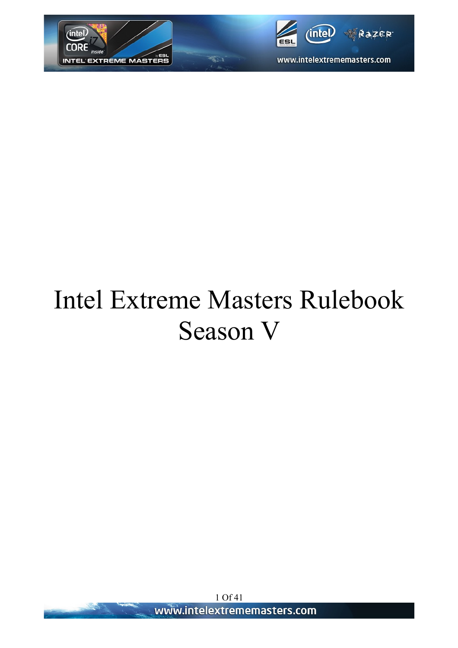



# Intel Extreme Masters Rulebook Season V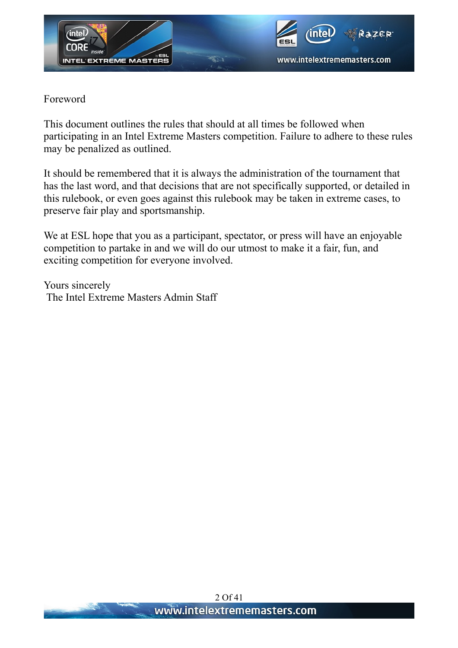

Foreword

This document outlines the rules that should at all times be followed when participating in an Intel Extreme Masters competition. Failure to adhere to these rules may be penalized as outlined.

It should be remembered that it is always the administration of the tournament that has the last word, and that decisions that are not specifically supported, or detailed in this rulebook, or even goes against this rulebook may be taken in extreme cases, to preserve fair play and sportsmanship.

We at ESL hope that you as a participant, spectator, or press will have an enjoyable competition to partake in and we will do our utmost to make it a fair, fun, and exciting competition for everyone involved.

Yours sincerely The Intel Extreme Masters Admin Staff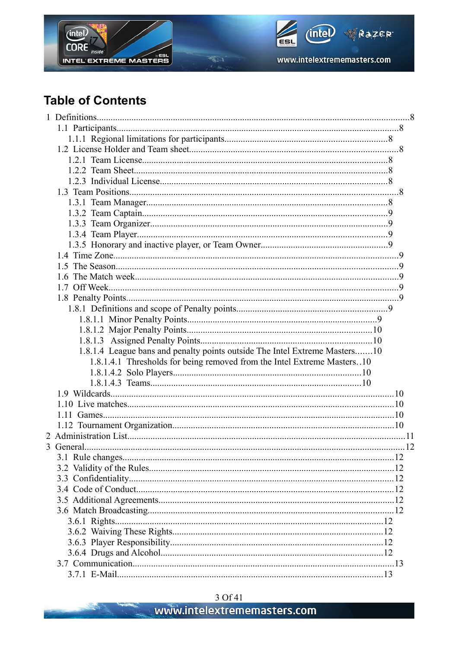



# **Table of Contents**

S. Collection

|  | 1.8.1.4 League bans and penalty points outside The Intel Extreme Masters10 |  |
|--|----------------------------------------------------------------------------|--|
|  | 1.8.1.4.1 Thresholds for being removed from the Intel Extreme Masters10    |  |
|  |                                                                            |  |
|  |                                                                            |  |
|  |                                                                            |  |
|  |                                                                            |  |
|  |                                                                            |  |
|  |                                                                            |  |
|  |                                                                            |  |
|  |                                                                            |  |
|  |                                                                            |  |
|  |                                                                            |  |
|  |                                                                            |  |
|  |                                                                            |  |
|  |                                                                            |  |
|  |                                                                            |  |
|  |                                                                            |  |
|  |                                                                            |  |
|  |                                                                            |  |
|  |                                                                            |  |
|  |                                                                            |  |
|  |                                                                            |  |

 $\vec{S}$  is a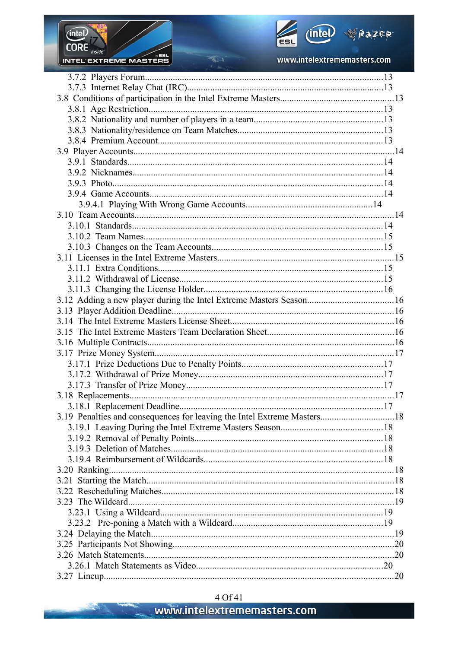

and the first contract of



www.intelextrememasters.com

| 3.12 Adding a new player during the Intel Extreme Masters Season16      |  |
|-------------------------------------------------------------------------|--|
|                                                                         |  |
|                                                                         |  |
|                                                                         |  |
|                                                                         |  |
|                                                                         |  |
|                                                                         |  |
|                                                                         |  |
|                                                                         |  |
|                                                                         |  |
|                                                                         |  |
| 3.19 Penalties and consequences for leaving the Intel Extreme Masters18 |  |
|                                                                         |  |
|                                                                         |  |
|                                                                         |  |
|                                                                         |  |
|                                                                         |  |
|                                                                         |  |
|                                                                         |  |
|                                                                         |  |
|                                                                         |  |
|                                                                         |  |
|                                                                         |  |
|                                                                         |  |
|                                                                         |  |
|                                                                         |  |
|                                                                         |  |

 $\frac{1}{2}$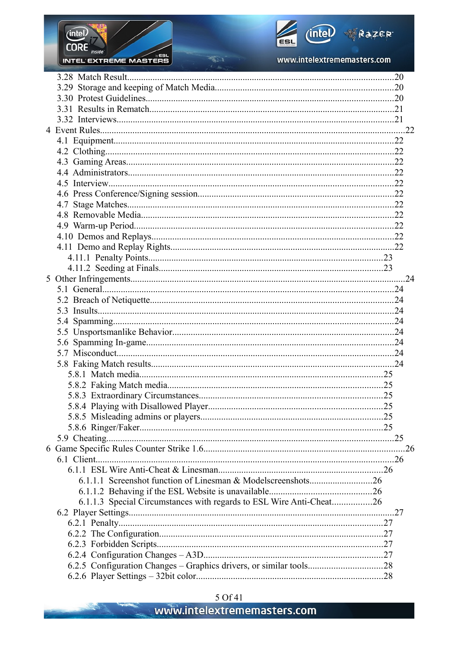

and the first contract of



www.intelextrememasters.com

| 6.1.1.3 Special Circumstances with regards to ESL Wire Anti-Cheat26 |  |
|---------------------------------------------------------------------|--|
|                                                                     |  |
|                                                                     |  |
|                                                                     |  |
|                                                                     |  |
|                                                                     |  |
|                                                                     |  |
|                                                                     |  |

 $\sqrt{2}$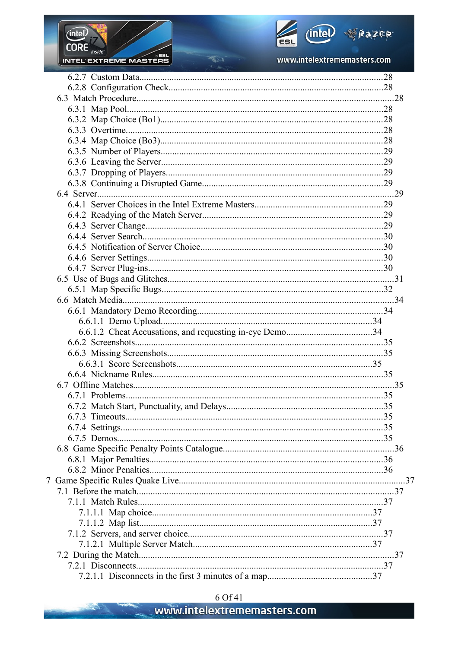

September 19



www.intelextrememasters.com

 $\frac{1}{2}$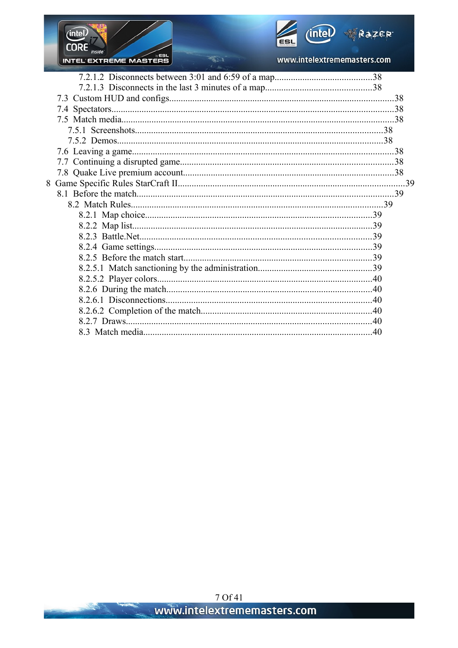

www.intelextrememasters.com

 $\sqrt{2}$ 

(intel)

 $CORE$  inside

The Common Section

INTEL EXTREME MASTERS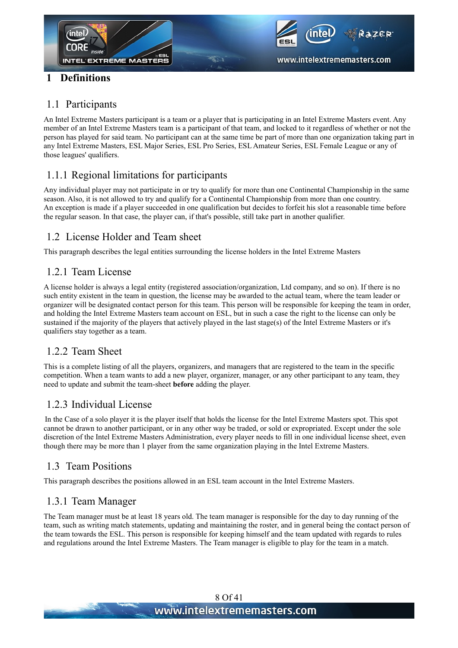



#### **1 Definitions**

#### 1.1 Participants

An Intel Extreme Masters participant is a team or a player that is participating in an Intel Extreme Masters event. Any member of an Intel Extreme Masters team is a participant of that team, and locked to it regardless of whether or not the person has played for said team. No participant can at the same time be part of more than one organization taking part in any Intel Extreme Masters, ESL Major Series, ESL Pro Series, ESL Amateur Series, ESL Female League or any of those leagues' qualifiers.

#### 1.1.1 Regional limitations for participants

Any individual player may not participate in or try to qualify for more than one Continental Championship in the same season. Also, it is not allowed to try and qualify for a Continental Championship from more than one country. An exception is made if a player succeeded in one qualification but decides to forfeit his slot a reasonable time before the regular season. In that case, the player can, if that's possible, still take part in another qualifier.

#### 1.2 License Holder and Team sheet

This paragraph describes the legal entities surrounding the license holders in the Intel Extreme Masters

#### 1.2.1 Team License

A license holder is always a legal entity (registered association/organization, Ltd company, and so on). If there is no such entity existent in the team in question, the license may be awarded to the actual team, where the team leader or organizer will be designated contact person for this team. This person will be responsible for keeping the team in order, and holding the Intel Extreme Masters team account on ESL, but in such a case the right to the license can only be sustained if the majority of the players that actively played in the last stage(s) of the Intel Extreme Masters or it's qualifiers stay together as a team.

#### 1.2.2 Team Sheet

This is a complete listing of all the players, organizers, and managers that are registered to the team in the specific competition. When a team wants to add a new player, organizer, manager, or any other participant to any team, they need to update and submit the team-sheet **before** adding the player.

#### 1.2.3 Individual License

In the Case of a solo player it is the player itself that holds the license for the Intel Extreme Masters spot. This spot cannot be drawn to another participant, or in any other way be traded, or sold or expropriated. Except under the sole discretion of the Intel Extreme Masters Administration, every player needs to fill in one individual license sheet, even though there may be more than 1 player from the same organization playing in the Intel Extreme Masters.

#### 1.3 Team Positions

This paragraph describes the positions allowed in an ESL team account in the Intel Extreme Masters.

#### 1.3.1 Team Manager

The Team manager must be at least 18 years old. The team manager is responsible for the day to day running of the team, such as writing match statements, updating and maintaining the roster, and in general being the contact person of the team towards the ESL. This person is responsible for keeping himself and the team updated with regards to rules and regulations around the Intel Extreme Masters. The Team manager is eligible to play for the team in a match.

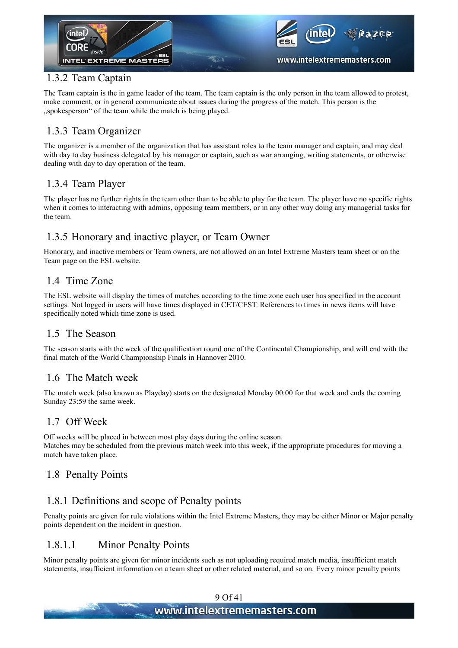

#### 1.3.2 Team Captain

The Team captain is the in game leader of the team. The team captain is the only person in the team allowed to protest, make comment, or in general communicate about issues during the progress of the match. This person is the ", spokesperson" of the team while the match is being played.

#### 1.3.3 Team Organizer

The organizer is a member of the organization that has assistant roles to the team manager and captain, and may deal with day to day business delegated by his manager or captain, such as war arranging, writing statements, or otherwise dealing with day to day operation of the team.

#### 1.3.4 Team Player

The player has no further rights in the team other than to be able to play for the team. The player have no specific rights when it comes to interacting with admins, opposing team members, or in any other way doing any managerial tasks for the team.

#### 1.3.5 Honorary and inactive player, or Team Owner

Honorary, and inactive members or Team owners, are not allowed on an Intel Extreme Masters team sheet or on the Team page on the ESL website.

#### 1.4 Time Zone

The ESL website will display the times of matches according to the time zone each user has specified in the account settings. Not logged in users will have times displayed in CET/CEST. References to times in news items will have specifically noted which time zone is used.

#### 1.5 The Season

The season starts with the week of the qualification round one of the Continental Championship, and will end with the final match of the World Championship Finals in Hannover 2010.

#### 1.6 The Match week

The match week (also known as Playday) starts on the designated Monday 00:00 for that week and ends the coming Sunday 23:59 the same week.

#### 1.7 Off Week

Off weeks will be placed in between most play days during the online season. Matches may be scheduled from the previous match week into this week, if the appropriate procedures for moving a match have taken place.

#### 1.8 Penalty Points

#### 1.8.1 Definitions and scope of Penalty points

Penalty points are given for rule violations within the Intel Extreme Masters, they may be either Minor or Major penalty points dependent on the incident in question.

#### 1.8.1.1 Minor Penalty Points

Minor penalty points are given for minor incidents such as not uploading required match media, insufficient match statements, insufficient information on a team sheet or other related material, and so on. Every minor penalty points

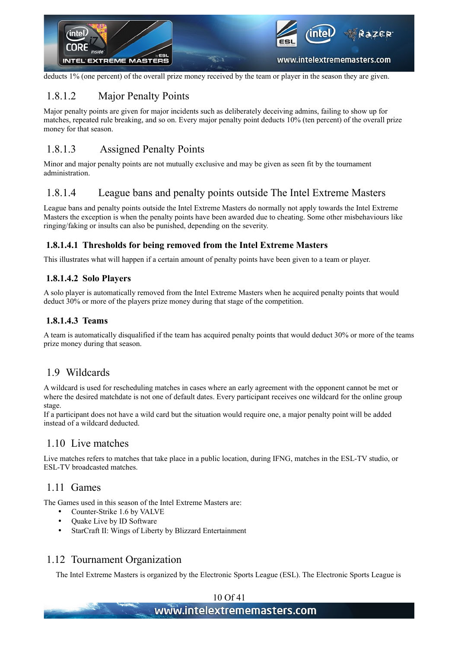

deducts 1% (one percent) of the overall prize money received by the team or player in the season they are given.

#### 1.8.1.2 Major Penalty Points

Major penalty points are given for major incidents such as deliberately deceiving admins, failing to show up for matches, repeated rule breaking, and so on. Every major penalty point deducts 10% (ten percent) of the overall prize money for that season.

#### 1.8.1.3 Assigned Penalty Points

Minor and major penalty points are not mutually exclusive and may be given as seen fit by the tournament administration.

#### 1.8.1.4 League bans and penalty points outside The Intel Extreme Masters

League bans and penalty points outside the Intel Extreme Masters do normally not apply towards the Intel Extreme Masters the exception is when the penalty points have been awarded due to cheating. Some other misbehaviours like ringing/faking or insults can also be punished, depending on the severity.

#### <span id="page-9-0"></span> **1.8.1.4.1 Thresholds for being removed from the Intel Extreme Masters**

This illustrates what will happen if a certain amount of penalty points have been given to a team or player.

#### **1.8.1.4.2 Solo Players**

A solo player is automatically removed from the Intel Extreme Masters when he acquired penalty points that would deduct 30% or more of the players prize money during that stage of the competition.

#### **1.8.1.4.3 Teams**

A team is automatically disqualified if the team has acquired penalty points that would deduct 30% or more of the teams prize money during that season.

#### 1.9 Wildcards

A wildcard is used for rescheduling matches in cases where an early agreement with the opponent cannot be met or where the desired matchdate is not one of default dates. Every participant receives one wildcard for the online group stage.

If a participant does not have a wild card but the situation would require one, a major penalty point will be added instead of a wildcard deducted.

#### 1.10 Live matches

Live matches refers to matches that take place in a public location, during IFNG, matches in the ESL-TV studio, or ESL-TV broadcasted matches.

#### 1.11 Games

The Games used in this season of the Intel Extreme Masters are:

- Counter-Strike 1.6 by VALVE
- Quake Live by ID Software
- StarCraft II: Wings of Liberty by Blizzard Entertainment

#### 1.12 Tournament Organization

The Intel Extreme Masters is organized by the Electronic Sports League (ESL). The Electronic Sports League is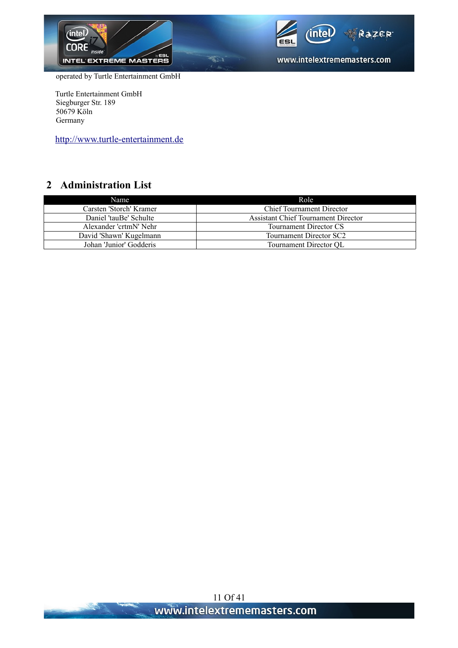



www.intelextrememasters.com

operated by Turtle Entertainment GmbH

Turtle Entertainment GmbH Siegburger Str. 189 50679 Köln Germany

[http://www.turtle-entertainment.de](http://www.turtle-entertainment.de/)

#### **2 Administration List**

| Name                    | Role                                       |
|-------------------------|--------------------------------------------|
| Carsten 'Storch' Kramer | <b>Chief Tournament Director</b>           |
| Daniel 'tauBe' Schulte  | <b>Assistant Chief Tournament Director</b> |
| Alexander 'crtmN' Nehr  | Tournament Director CS                     |
| David 'Shawn' Kugelmann | Tournament Director SC2                    |
| Johan 'Junior' Godderis | Tournament Director OL                     |

 $\overline{\mathcal{R}}$ 

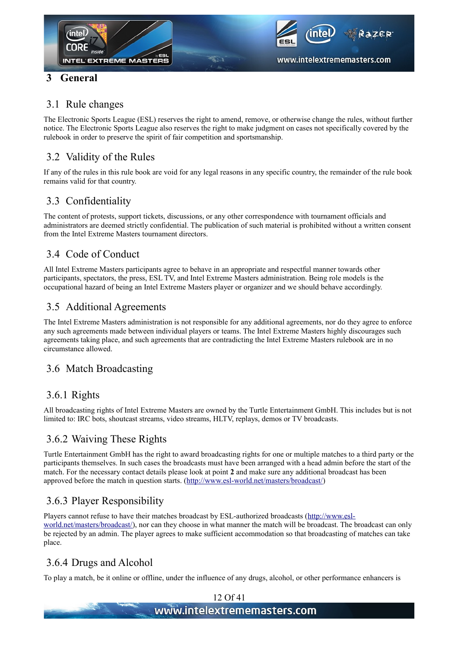

#### **3 General**

#### 3.1 Rule changes

The Electronic Sports League (ESL) reserves the right to amend, remove, or otherwise change the rules, without further notice. The Electronic Sports League also reserves the right to make judgment on cases not specifically covered by the rulebook in order to preserve the spirit of fair competition and sportsmanship.

#### 3.2 Validity of the Rules

If any of the rules in this rule book are void for any legal reasons in any specific country, the remainder of the rule book remains valid for that country.

#### 3.3 Confidentiality

The content of protests, support tickets, discussions, or any other correspondence with tournament officials and administrators are deemed strictly confidential. The publication of such material is prohibited without a written consent from the Intel Extreme Masters tournament directors.

#### 3.4 Code of Conduct

All Intel Extreme Masters participants agree to behave in an appropriate and respectful manner towards other participants, spectators, the press, ESL TV, and Intel Extreme Masters administration. Being role models is the occupational hazard of being an Intel Extreme Masters player or organizer and we should behave accordingly.

#### 3.5 Additional Agreements

The Intel Extreme Masters administration is not responsible for any additional agreements, nor do they agree to enforce any such agreements made between individual players or teams. The Intel Extreme Masters highly discourages such agreements taking place, and such agreements that are contradicting the Intel Extreme Masters rulebook are in no circumstance allowed.

#### 3.6 Match Broadcasting

#### 3.6.1 Rights

All broadcasting rights of Intel Extreme Masters are owned by the Turtle Entertainment GmbH. This includes but is not limited to: IRC bots, shoutcast streams, video streams, HLTV, replays, demos or TV broadcasts.

#### 3.6.2 Waiving These Rights

Turtle Entertainment GmbH has the right to award broadcasting rights for one or multiple matches to a third party or the participants themselves. In such cases the broadcasts must have been arranged with a head admin before the start of the match. For the necessary contact details please look at point **2** and make sure any additional broadcast has been approved before the match in question starts. [\(http://www.esl-world.net/masters/broadcast/\)](http://www.esl-world.net/masters/broadcast/)

#### 3.6.3 Player Responsibility

Players cannot refuse to have their matches broadcast by ESL-authorized broadcasts [\(http://www.esl](http://www.esl-world.net/masters/broadcast/)[world.net/masters/broadcast/\)](http://www.esl-world.net/masters/broadcast/), nor can they choose in what manner the match will be broadcast. The broadcast can only be rejected by an admin. The player agrees to make sufficient accommodation so that broadcasting of matches can take place.

#### 3.6.4 Drugs and Alcohol

To play a match, be it online or offline, under the influence of any drugs, alcohol, or other performance enhancers is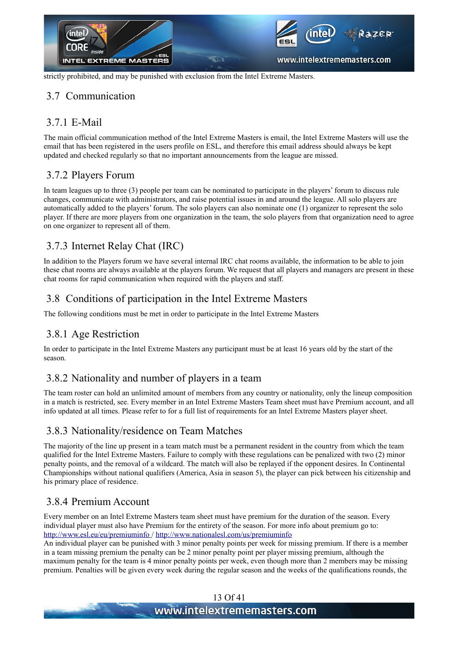

strictly prohibited, and may be punished with exclusion from the Intel Extreme Masters.

#### 3.7 Communication

#### 3.7.1 E-Mail

The main official communication method of the Intel Extreme Masters is email, the Intel Extreme Masters will use the email that has been registered in the users profile on ESL, and therefore this email address should always be kept updated and checked regularly so that no important announcements from the league are missed.

#### 3.7.2 Players Forum

In team leagues up to three (3) people per team can be nominated to participate in the players' forum to discuss rule changes, communicate with administrators, and raise potential issues in and around the league. All solo players are automatically added to the players' forum. The solo players can also nominate one (1) organizer to represent the solo player. If there are more players from one organization in the team, the solo players from that organization need to agree on one organizer to represent all of them.

#### 3.7.3 Internet Relay Chat (IRC)

In addition to the Players forum we have several internal IRC chat rooms available, the information to be able to join these chat rooms are always available at the players forum. We request that all players and managers are present in these chat rooms for rapid communication when required with the players and staff.

#### 3.8 Conditions of participation in the Intel Extreme Masters

The following conditions must be met in order to participate in the Intel Extreme Masters

#### 3.8.1 Age Restriction

In order to participate in the Intel Extreme Masters any participant must be at least 16 years old by the start of the season.

#### 3.8.2 Nationality and number of players in a team

The team roster can hold an unlimited amount of members from any country or nationality, only the lineup composition in a match is restricted, see. Every member in an Intel Extreme Masters Team sheet must have Premium account, and all info updated at all times. Please refer to for a full list of requirements for an Intel Extreme Masters player sheet.

#### 3.8.3 Nationality/residence on Team Matches

The majority of the line up present in a team match must be a permanent resident in the country from which the team qualified for the Intel Extreme Masters. Failure to comply with these regulations can be penalized with two (2) minor penalty points, and the removal of a wildcard. The match will also be replayed if the opponent desires. In Continental Championships without national qualifiers (America, Asia in season 5), the player can pick between his citizenship and his primary place of residence.

#### 3.8.4 Premium Account

Every member on an Intel Extreme Masters team sheet must have premium for the duration of the season. Every individual player must also have Premium for the entirety of the season. For more info about premium go to: <http://www.esl.eu/eu/premiuminfo> /<http://www.nationalesl.com/us/premiuminfo>

An individual player can be punished with 3 minor penalty points per week for missing premium. If there is a member in a team missing premium the penalty can be 2 minor penalty point per player missing premium, although the maximum penalty for the team is 4 minor penalty points per week, even though more than 2 members may be missing premium. Penalties will be given every week during the regular season and the weeks of the qualifications rounds, the

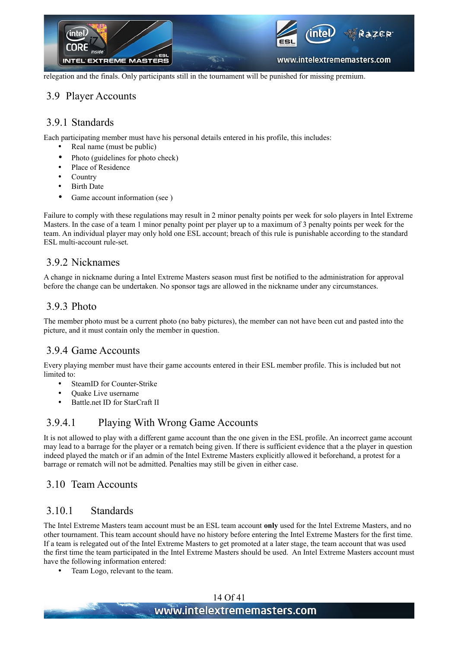

relegation and the finals. Only participants still in the tournament will be punished for missing premium.

#### 3.9 Player Accounts

#### 3.9.1 Standards

Each participating member must have his personal details entered in his profile, this includes:

- Real name (must be public)
- Photo (guidelines for photo check)
- Place of Residence
- Country
- Birth Date
- Game account information (see [\)](#page-13-0)

Failure to comply with these regulations may result in 2 minor penalty points per week for solo players in Intel Extreme Masters. In the case of a team 1 minor penalty point per player up to a maximum of 3 penalty points per week for the team. An individual player may only hold one ESL account; breach of this rule is punishable according to the standard ESL multi-account rule-set.

#### 3.9.2 Nicknames

A change in nickname during a Intel Extreme Masters season must first be notified to the administration for approval before the change can be undertaken. No sponsor tags are allowed in the nickname under any circumstances.

#### 3.9.3 Photo

The member photo must be a current photo (no baby pictures), the member can not have been cut and pasted into the picture, and it must contain only the member in question.

#### <span id="page-13-0"></span>3.9.4 Game Accounts

Every playing member must have their game accounts entered in their ESL member profile. This is included but not limited to:

- SteamID for Counter-Strike
- Quake Live username
- Battle.net ID for StarCraft II

#### 3.9.4.1 Playing With Wrong Game Accounts

It is not allowed to play with a different game account than the one given in the ESL profile. An incorrect game account may lead to a barrage for the player or a rematch being given. If there is sufficient evidence that a the player in question indeed played the match or if an admin of the Intel Extreme Masters explicitly allowed it beforehand, a protest for a barrage or rematch will not be admitted. Penalties may still be given in either case.

#### 3.10 Team Accounts

#### 3.10.1 Standards

The Intel Extreme Masters team account must be an ESL team account **only** used for the Intel Extreme Masters, and no other tournament. This team account should have no history before entering the Intel Extreme Masters for the first time. If a team is relegated out of the Intel Extreme Masters to get promoted at a later stage, the team account that was used the first time the team participated in the Intel Extreme Masters should be used. An Intel Extreme Masters account must have the following information entered:

• Team Logo, relevant to the team.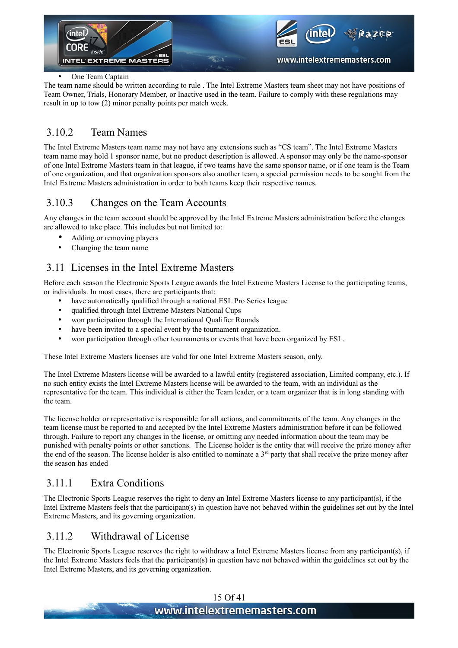

#### One Team Captain

The team name should be written according to rule [.](#page-14-0) The Intel Extreme Masters team sheet may not have positions of Team Owner, Trials, Honorary Member, or Inactive used in the team. Failure to comply with these regulations may result in up to tow (2) minor penalty points per match week.

#### <span id="page-14-0"></span>3.10.2 Team Names

The Intel Extreme Masters team name may not have any extensions such as "CS team". The Intel Extreme Masters team name may hold 1 sponsor name, but no product description is allowed. A sponsor may only be the name-sponsor of one Intel Extreme Masters team in that league, if two teams have the same sponsor name, or if one team is the Team of one organization, and that organization sponsors also another team, a special permission needs to be sought from the Intel Extreme Masters administration in order to both teams keep their respective names.

#### 3.10.3 Changes on the Team Accounts

Any changes in the team account should be approved by the Intel Extreme Masters administration before the changes are allowed to take place. This includes but not limited to:

- Adding or removing players
- Changing the team name

#### 3.11 Licenses in the Intel Extreme Masters

Before each season the Electronic Sports League awards the Intel Extreme Masters License to the participating teams, or individuals. In most cases, there are participants that:

- have automatically qualified through a national ESL Pro Series league
- qualified through Intel Extreme Masters National Cups
- won participation through the International Qualifier Rounds
- have been invited to a special event by the tournament organization.
- won participation through other tournaments or events that have been organized by ESL.

These Intel Extreme Masters licenses are valid for one Intel Extreme Masters season, only.

The Intel Extreme Masters license will be awarded to a lawful entity (registered association, Limited company, etc.). If no such entity exists the Intel Extreme Masters license will be awarded to the team, with an individual as the representative for the team. This individual is either the Team leader, or a team organizer that is in long standing with the team.

The license holder or representative is responsible for all actions, and commitments of the team. Any changes in the team license must be reported to and accepted by the Intel Extreme Masters administration before it can be followed through. Failure to report any changes in the license, or omitting any needed information about the team may be punished with penalty points or other sanctions. The License holder is the entity that will receive the prize money after the end of the season. The license holder is also entitled to nominate a  $3<sup>rd</sup>$  party that shall receive the prize money after the season has ended

#### 3.11.1 Extra Conditions

The Electronic Sports League reserves the right to deny an Intel Extreme Masters license to any participant(s), if the Intel Extreme Masters feels that the participant(s) in question have not behaved within the guidelines set out by the Intel Extreme Masters, and its governing organization.

#### 3.11.2 Withdrawal of License

The Electronic Sports League reserves the right to withdraw a Intel Extreme Masters license from any participant(s), if the Intel Extreme Masters feels that the participant(s) in question have not behaved within the guidelines set out by the Intel Extreme Masters, and its governing organization.

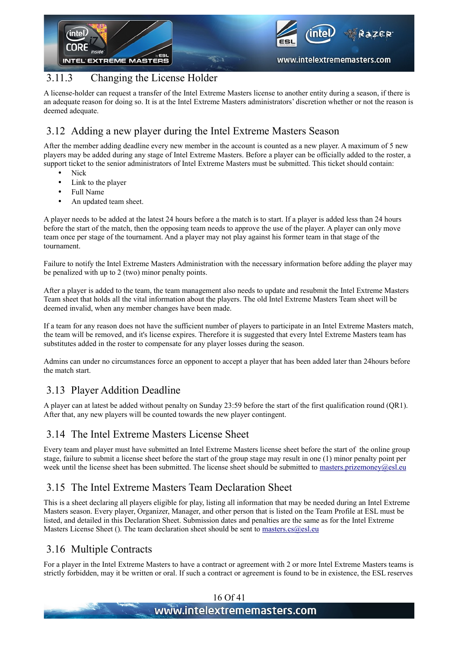

#### 3.11.3 Changing the License Holder

A license-holder can request a transfer of the Intel Extreme Masters license to another entity during a season, if there is an adequate reason for doing so. It is at the Intel Extreme Masters administrators' discretion whether or not the reason is deemed adequate.

#### 3.12 Adding a new player during the Intel Extreme Masters Season

After the member adding deadline every new member in the account is counted as a new player. A maximum of 5 new players may be added during any stage of Intel Extreme Masters. Before a player can be officially added to the roster, a support ticket to the senior administrators of Intel Extreme Masters must be submitted. This ticket should contain:

- Nick
- Link to the player
- Full Name
- An updated team sheet.

A player needs to be added at the latest 24 hours before a the match is to start. If a player is added less than 24 hours before the start of the match, then the opposing team needs to approve the use of the player. A player can only move team once per stage of the tournament. And a player may not play against his former team in that stage of the tournament.

Failure to notify the Intel Extreme Masters Administration with the necessary information before adding the player may be penalized with up to 2 (two) minor penalty points.

After a player is added to the team, the team management also needs to update and resubmit the Intel Extreme Masters Team sheet that holds all the vital information about the players. The old Intel Extreme Masters Team sheet will be deemed invalid, when any member changes have been made.

If a team for any reason does not have the sufficient number of players to participate in an Intel Extreme Masters match, the team will be removed, and it's license expires. Therefore it is suggested that every Intel Extreme Masters team has substitutes added in the roster to compensate for any player losses during the season.

Admins can under no circumstances force an opponent to accept a player that has been added later than 24hours before the match start.

#### 3.13 Player Addition Deadline

A player can at latest be added without penalty on Sunday 23:59 before the start of the first qualification round (QR1). After that, any new players will be counted towards the new player contingent.

#### <span id="page-15-0"></span>3.14 The Intel Extreme Masters License Sheet

Every team and player must have submitted an Intel Extreme Masters license sheet before the start of the online group stage, failure to submit a license sheet before the start of the group stage may result in one (1) minor penalty point per week until the license sheet has been submitted. The license sheet should be submitted to [masters.prizemoney@esl.eu](mailto:masters.prizemoney@esl.eu)

#### 3.15 The Intel Extreme Masters Team Declaration Sheet

This is a sheet declaring all players eligible for play, listing all information that may be needed during an Intel Extreme Masters season. Every player, Organizer, Manager, and other person that is listed on the Team Profile at ESL must be listed, and detailed in this Declaration Sheet. Submission dates and penalties are the same as for the Intel Extreme Masters License Sheet [\(\)](#page-15-0). The team declaration sheet should be sent to [masters.cs@esl.eu](mailto:masters.cs@esl.eu)

#### 3.16 Multiple Contracts

For a player in the Intel Extreme Masters to have a contract or agreement with 2 or more Intel Extreme Masters teams is strictly forbidden, may it be written or oral. If such a contract or agreement is found to be in existence, the ESL reserves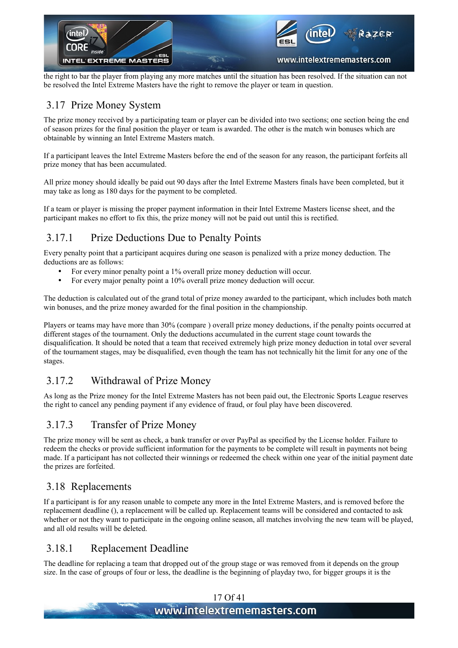

the right to bar the player from playing any more matches until the situation has been resolved. If the situation can not be resolved the Intel Extreme Masters have the right to remove the player or team in question.

#### 3.17 Prize Money System

The prize money received by a participating team or player can be divided into two sections; one section being the end of season prizes for the final position the player or team is awarded. The other is the match win bonuses which are obtainable by winning an Intel Extreme Masters match.

If a participant leaves the Intel Extreme Masters before the end of the season for any reason, the participant forfeits all prize money that has been accumulated.

All prize money should ideally be paid out 90 days after the Intel Extreme Masters finals have been completed, but it may take as long as 180 days for the payment to be completed.

If a team or player is missing the proper payment information in their Intel Extreme Masters license sheet, and the participant makes no effort to fix this, the prize money will not be paid out until this is rectified.

#### <span id="page-16-1"></span>3.17.1 Prize Deductions Due to Penalty Points

Every penalty point that a participant acquires during one season is penalized with a prize money deduction. The deductions are as follows:

- For every minor penalty point a 1% overall prize money deduction will occur.
- For every major penalty point a 10% overall prize money deduction will occur.

The deduction is calculated out of the grand total of prize money awarded to the participant, which includes both match win bonuses, and the prize money awarded for the final position in the championship.

Players or teams may have more than 30% (compare [\)](#page-9-0) overall prize money deductions, if the penalty points occurred at different stages of the tournament. Only the deductions accumulated in the current stage count towards the disqualification. It should be noted that a team that received extremely high prize money deduction in total over several of the tournament stages, may be disqualified, even though the team has not technically hit the limit for any one of the stages.

#### 3.17.2 Withdrawal of Prize Money

As long as the Prize money for the Intel Extreme Masters has not been paid out, the Electronic Sports League reserves the right to cancel any pending payment if any evidence of fraud, or foul play have been discovered.

#### 3.17.3 Transfer of Prize Money

The prize money will be sent as check, a bank transfer or over PayPal as specified by the License holder. Failure to redeem the checks or provide sufficient information for the payments to be complete will result in payments not being made. If a participant has not collected their winnings or redeemed the check within one year of the initial payment date the prizes are forfeited.

#### 3.18 Replacements

If a participant is for any reason unable to compete any more in the Intel Extreme Masters, and is removed before the replacement deadline [\(\)](#page-16-0), a replacement will be called up. Replacement teams will be considered and contacted to ask whether or not they want to participate in the ongoing online season, all matches involving the new team will be played, and all old results will be deleted.

#### <span id="page-16-0"></span>3.18.1 Replacement Deadline

The deadline for replacing a team that dropped out of the group stage or was removed from it depends on the group size. In the case of groups of four or less, the deadline is the beginning of playday two, for bigger groups it is the

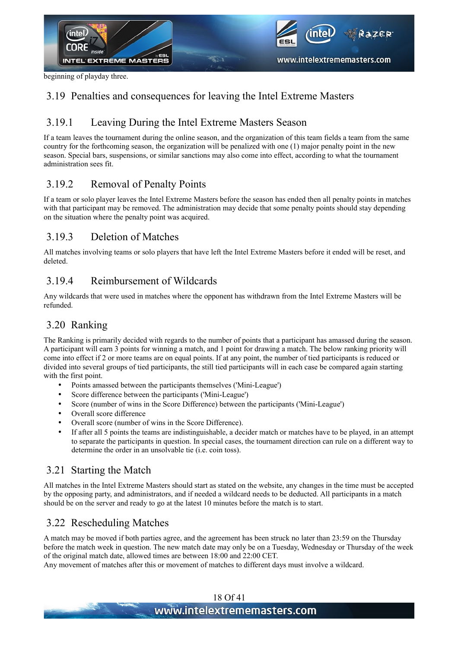

beginning of playday three.

#### 3.19 Penalties and consequences for leaving the Intel Extreme Masters

#### 3.19.1 Leaving During the Intel Extreme Masters Season

If a team leaves the tournament during the online season, and the organization of this team fields a team from the same country for the forthcoming season, the organization will be penalized with one (1) major penalty point in the new season. Special bars, suspensions, or similar sanctions may also come into effect, according to what the tournament administration sees fit.

#### 3.19.2 Removal of Penalty Points

If a team or solo player leaves the Intel Extreme Masters before the season has ended then all penalty points in matches with that participant may be removed. The administration may decide that some penalty points should stay depending on the situation where the penalty point was acquired.

#### 3.19.3 Deletion of Matches

All matches involving teams or solo players that have left the Intel Extreme Masters before it ended will be reset, and deleted.

#### 3.19.4 Reimbursement of Wildcards

Any wildcards that were used in matches where the opponent has withdrawn from the Intel Extreme Masters will be refunded.

#### 3.20 Ranking

The Ranking is primarily decided with regards to the number of points that a participant has amassed during the season. A participant will earn 3 points for winning a match, and 1 point for drawing a match. The below ranking priority will come into effect if 2 or more teams are on equal points. If at any point, the number of tied participants is reduced or divided into several groups of tied participants, the still tied participants will in each case be compared again starting with the first point.

- Points amassed between the participants themselves ('Mini-League')
- Score difference between the participants ('Mini-League')
- Score (number of wins in the Score Difference) between the participants ('Mini-League')
- Overall score difference
- Overall score (number of wins in the Score Difference).
- If after all 5 points the teams are indistinguishable, a decider match or matches have to be played, in an attempt to separate the participants in question. In special cases, the tournament direction can rule on a different way to determine the order in an unsolvable tie (i.e. coin toss).

#### 3.21 Starting the Match

All matches in the Intel Extreme Masters should start as stated on the website, any changes in the time must be accepted by the opposing party, and administrators, and if needed a wildcard needs to be deducted. All participants in a match should be on the server and ready to go at the latest 10 minutes before the match is to start.

#### 3.22 Rescheduling Matches

A match may be moved if both parties agree, and the agreement has been struck no later than 23:59 on the Thursday before the match week in question. The new match date may only be on a Tuesday, Wednesday or Thursday of the week of the original match date, allowed times are between 18:00 and 22:00 CET.

Any movement of matches after this or movement of matches to different days must involve a wildcard.

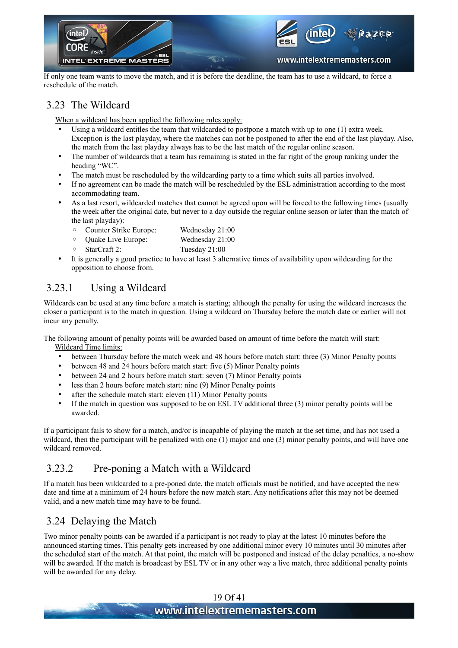

If only one team wants to move the match, and it is before the deadline, the team has to use a wildcard, to force a reschedule of the match.

#### 3.23 The Wildcard

When a wildcard has been applied the following rules apply:

- Using a wildcard entitles the team that wildcarded to postpone a match with up to one (1) extra week. Exception is the last playday, where the matches can not be postponed to after the end of the last playday. Also, the match from the last playday always has to be the last match of the regular online season.
- The number of wildcards that a team has remaining is stated in the far right of the group ranking under the heading "WC".
- The match must be rescheduled by the wildcarding party to a time which suits all parties involved.
- If no agreement can be made the match will be rescheduled by the ESL administration according to the most accommodating team.
- As a last resort, wildcarded matches that cannot be agreed upon will be forced to the following times (usually the week after the original date, but never to a day outside the regular online season or later than the match of the last playday):
	- Counter Strike Europe: Wednesday 21:00
	- Quake Live Europe: Wednesday 21:00
	- StarCraft 2: Tuesday 21:00
- <span id="page-18-0"></span>• It is generally a good practice to have at least 3 alternative times of availability upon wildcarding for the opposition to choose from.

#### 3.23.1 Using a Wildcard

Wildcards can be used at any time before a match is starting; although the penalty for using the wildcard increases the closer a participant is to the match in question. Using a wildcard on Thursday before the match date or earlier will not incur any penalty.

The following amount of penalty points will be awarded based on amount of time before the match will start: Wildcard Time limits:

- between Thursday before the match week and 48 hours before match start: three (3) Minor Penalty points
- between 48 and 24 hours before match start: five (5) Minor Penalty points
- between 24 and 2 hours before match start: seven (7) Minor Penalty points
- less than 2 hours before match start: nine (9) Minor Penalty points
- after the schedule match start: eleven (11) Minor Penalty points
- If the match in question was supposed to be on ESL TV additional three (3) minor penalty points will be awarded.

If a participant fails to show for a match, and/or is incapable of playing the match at the set time, and has not used a wildcard, then the participant will be penalized with one (1) major and one (3) minor penalty points, and will have one wildcard removed

#### 3.23.2 Pre-poning a Match with a Wildcard

If a match has been wildcarded to a pre-poned date, the match officials must be notified, and have accepted the new date and time at a minimum of 24 hours before the new match start. Any notifications after this may not be deemed valid, and a new match time may have to be found.

#### 3.24 Delaying the Match

Two minor penalty points can be awarded if a participant is not ready to play at the latest 10 minutes before the announced starting times. This penalty gets increased by one additional minor every 10 minutes until 30 minutes after the scheduled start of the match. At that point, the match will be postponed and instead of the delay penalties, a no-show will be awarded. If the match is broadcast by ESL TV or in any other way a live match, three additional penalty points will be awarded for any delay.

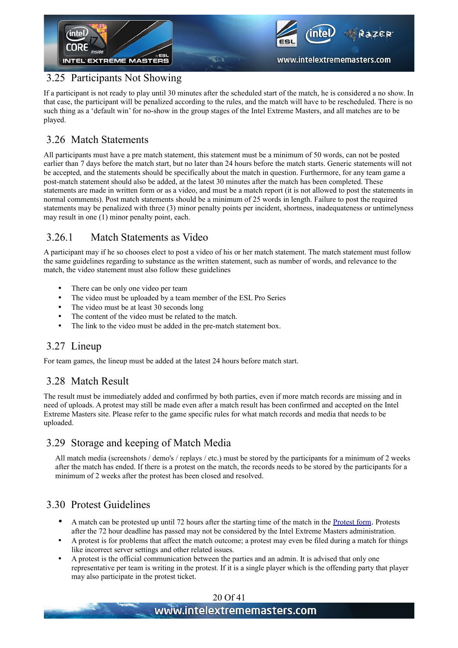

#### <span id="page-19-0"></span>3.25 Participants Not Showing

If a participant is not ready to play until 30 minutes after the scheduled start of the match, he is considered a no show. In that case, the participant will be penalized according to the rules, and the match will have to be rescheduled. There is no such thing as a 'default win' for no-show in the group stages of the Intel Extreme Masters, and all matches are to be played.

#### 3.26 Match Statements

All participants must have a pre match statement, this statement must be a minimum of 50 words, can not be posted earlier than 7 days before the match start, but no later than 24 hours before the match starts. Generic statements will not be accepted, and the statements should be specifically about the match in question. Furthermore, for any team game a post-match statement should also be added, at the latest 30 minutes after the match has been completed. These statements are made in written form or as a video, and must be a match report (it is not allowed to post the statements in normal comments). Post match statements should be a minimum of 25 words in length. Failure to post the required statements may be penalized with three (3) minor penalty points per incident, shortness, inadequateness or untimelyness may result in one (1) minor penalty point, each.

#### 3.26.1 Match Statements as Video

A participant may if he so chooses elect to post a video of his or her match statement. The match statement must follow the same guidelines regarding to substance as the written statement, such as number of words, and relevance to the match, the video statement must also follow these guidelines

- There can be only one video per team
- The video must be uploaded by a team member of the ESL Pro Series
- The video must be at least 30 seconds long
- The content of the video must be related to the match.
- The link to the video must be added in the pre-match statement box.

#### 3.27 Lineup

For team games, the lineup must be added at the latest 24 hours before match start.

#### 3.28 Match Result

The result must be immediately added and confirmed by both parties, even if more match records are missing and in need of uploads. A protest may still be made even after a match result has been confirmed and accepted on the Intel Extreme Masters site. Please refer to the game specific rules for what match records and media that needs to be uploaded.

#### 3.29 Storage and keeping of Match Media

All match media (screenshots / demo's / replays / etc.) must be stored by the participants for a minimum of 2 weeks after the match has ended. If there is a protest on the match, the records needs to be stored by the participants for a minimum of 2 weeks after the protest has been closed and resolved.

### 3.30 Protest Guidelines

- A match can be protested up until 72 hours after the starting time of the match in the [Protest form](http://www.esl-world.net/masters/protest/add/). Protests after the 72 hour deadline has passed may not be considered by the Intel Extreme Masters administration.
- A protest is for problems that affect the match outcome; a protest may even be filed during a match for things like incorrect server settings and other related issues.
- A protest is the official communication between the parties and an admin. It is advised that only one representative per team is writing in the protest. If it is a single player which is the offending party that player may also participate in the protest ticket.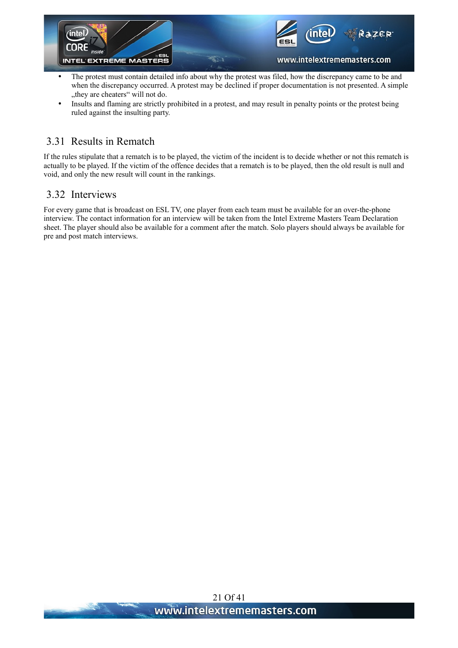

- The protest must contain detailed info about why the protest was filed, how the discrepancy came to be and when the discrepancy occurred. A protest may be declined if proper documentation is not presented. A simple "they are cheaters" will not do.
- Insults and flaming are strictly prohibited in a protest, and may result in penalty points or the protest being ruled against the insulting party.

#### 3.31 Results in Rematch

If the rules stipulate that a rematch is to be played, the victim of the incident is to decide whether or not this rematch is actually to be played. If the victim of the offence decides that a rematch is to be played, then the old result is null and void, and only the new result will count in the rankings.

#### 3.32 Interviews

For every game that is broadcast on ESL TV, one player from each team must be available for an over-the-phone interview. The contact information for an interview will be taken from the Intel Extreme Masters Team Declaration sheet. The player should also be available for a comment after the match. Solo players should always be available for pre and post match interviews.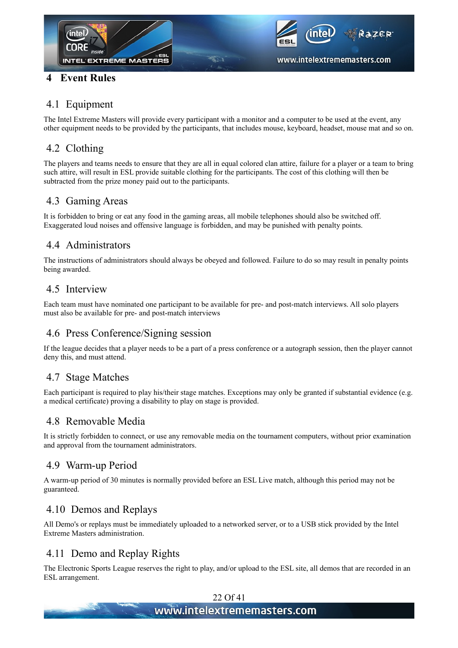

#### **4 Event Rules**



#### 4.1 Equipment

The Intel Extreme Masters will provide every participant with a monitor and a computer to be used at the event, any other equipment needs to be provided by the participants, that includes mouse, keyboard, headset, mouse mat and so on.

#### 4.2 Clothing

The players and teams needs to ensure that they are all in equal colored clan attire, failure for a player or a team to bring such attire, will result in ESL provide suitable clothing for the participants. The cost of this clothing will then be subtracted from the prize money paid out to the participants.

#### 4.3 Gaming Areas

It is forbidden to bring or eat any food in the gaming areas, all mobile telephones should also be switched off. Exaggerated loud noises and offensive language is forbidden, and may be punished with penalty points.

#### 4.4 Administrators

The instructions of administrators should always be obeyed and followed. Failure to do so may result in penalty points being awarded.

#### 4.5 Interview

Each team must have nominated one participant to be available for pre- and post-match interviews. All solo players must also be available for pre- and post-match interviews

#### 4.6 Press Conference/Signing session

If the league decides that a player needs to be a part of a press conference or a autograph session, then the player cannot deny this, and must attend.

#### 4.7 Stage Matches

Each participant is required to play his/their stage matches. Exceptions may only be granted if substantial evidence (e.g. a medical certificate) proving a disability to play on stage is provided.

#### 4.8 Removable Media

It is strictly forbidden to connect, or use any removable media on the tournament computers, without prior examination and approval from the tournament administrators.

#### 4.9 Warm-up Period

A warm-up period of 30 minutes is normally provided before an ESL Live match, although this period may not be guaranteed.

#### 4.10 Demos and Replays

All Demo's or replays must be immediately uploaded to a networked server, or to a USB stick provided by the Intel Extreme Masters administration.

#### 4.11 Demo and Replay Rights

The Electronic Sports League reserves the right to play, and/or upload to the ESL site, all demos that are recorded in an ESL arrangement.

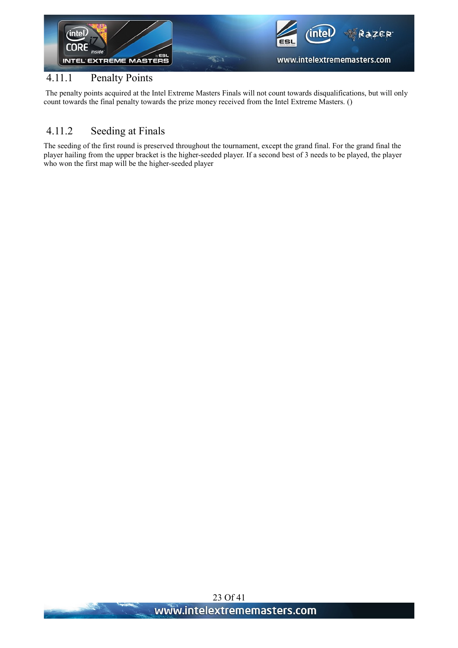

#### 4.11.1 Penalty Points

The penalty points acquired at the Intel Extreme Masters Finals will not count towards disqualifications, but will only count towards the final penalty towards the prize money received from the Intel Extreme Masters. [\(\)](#page-16-1)

#### 4.11.2 Seeding at Finals

The seeding of the first round is preserved throughout the tournament, except the grand final. For the grand final the player hailing from the upper bracket is the higher-seeded player. If a second best of 3 needs to be played, the player who won the first map will be the higher-seeded player

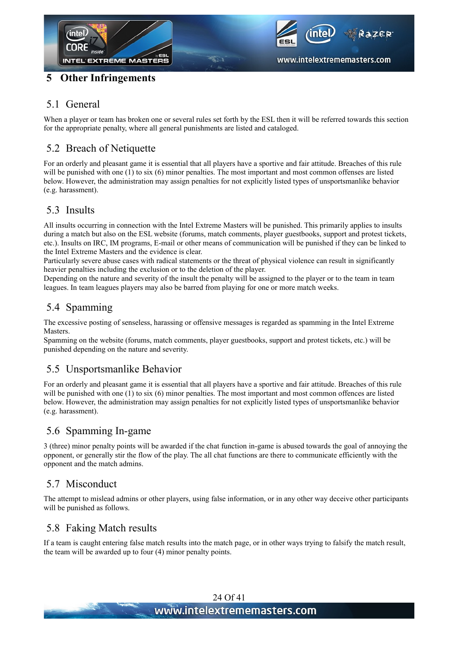



#### **5 Other Infringements**

#### 5.1 General

When a player or team has broken one or several rules set forth by the ESL then it will be referred towards this section for the appropriate penalty, where all general punishments are listed and cataloged.

#### 5.2 Breach of Netiquette

For an orderly and pleasant game it is essential that all players have a sportive and fair attitude. Breaches of this rule will be punished with one (1) to six (6) minor penalties. The most important and most common offenses are listed below. However, the administration may assign penalties for not explicitly listed types of unsportsmanlike behavior (e.g. harassment).

#### 5.3 Insults

All insults occurring in connection with the Intel Extreme Masters will be punished. This primarily applies to insults during a match but also on the ESL website (forums, match comments, player guestbooks, support and protest tickets, etc.). Insults on IRC, IM programs, E-mail or other means of communication will be punished if they can be linked to the Intel Extreme Masters and the evidence is clear.

Particularly severe abuse cases with radical statements or the threat of physical violence can result in significantly heavier penalties including the exclusion or to the deletion of the player.

Depending on the nature and severity of the insult the penalty will be assigned to the player or to the team in team leagues. In team leagues players may also be barred from playing for one or more match weeks.

#### 5.4 Spamming

The excessive posting of senseless, harassing or offensive messages is regarded as spamming in the Intel Extreme Masters.

Spamming on the website (forums, match comments, player guestbooks, support and protest tickets, etc.) will be punished depending on the nature and severity.

#### 5.5 Unsportsmanlike Behavior

For an orderly and pleasant game it is essential that all players have a sportive and fair attitude. Breaches of this rule will be punished with one (1) to six (6) minor penalties. The most important and most common offences are listed below. However, the administration may assign penalties for not explicitly listed types of unsportsmanlike behavior (e.g. harassment).

#### 5.6 Spamming In-game

3 (three) minor penalty points will be awarded if the chat function in-game is abused towards the goal of annoying the opponent, or generally stir the flow of the play. The all chat functions are there to communicate efficiently with the opponent and the match admins.

#### 5.7 Misconduct

The attempt to mislead admins or other players, using false information, or in any other way deceive other participants will be punished as follows.

#### 5.8 Faking Match results

If a team is caught entering false match results into the match page, or in other ways trying to falsify the match result, the team will be awarded up to four (4) minor penalty points.

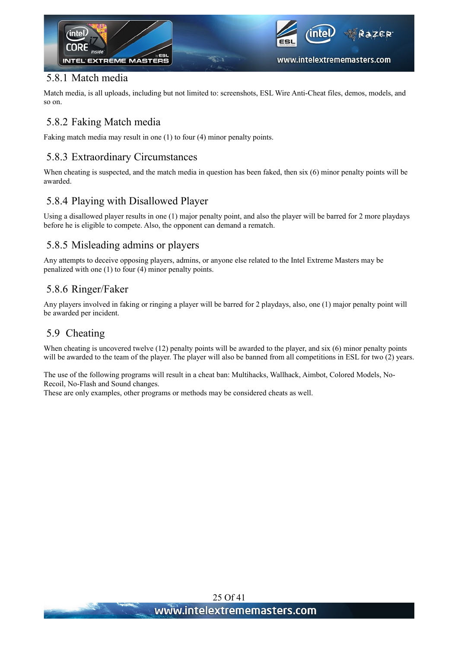

#### 5.8.1 Match media

Match media, is all uploads, including but not limited to: screenshots, ESL Wire Anti-Cheat files, demos, models, and so on.

#### 5.8.2 Faking Match media

Faking match media may result in one (1) to four (4) minor penalty points.

#### 5.8.3 Extraordinary Circumstances

When cheating is suspected, and the match media in question has been faked, then six (6) minor penalty points will be awarded.

#### 5.8.4 Playing with Disallowed Player

Using a disallowed player results in one (1) major penalty point, and also the player will be barred for 2 more playdays before he is eligible to compete. Also, the opponent can demand a rematch.

#### 5.8.5 Misleading admins or players

Any attempts to deceive opposing players, admins, or anyone else related to the Intel Extreme Masters may be penalized with one (1) to four (4) minor penalty points.

#### 5.8.6 Ringer/Faker

Any players involved in faking or ringing a player will be barred for 2 playdays, also, one (1) major penalty point will be awarded per incident.

#### 5.9 Cheating

When cheating is uncovered twelve (12) penalty points will be awarded to the player, and six (6) minor penalty points will be awarded to the team of the player. The player will also be banned from all competitions in ESL for two (2) years.

The use of the following programs will result in a cheat ban: Multihacks, Wallhack, Aimbot, Colored Models, No-Recoil, No-Flash and Sound changes.

These are only examples, other programs or methods may be considered cheats as well.

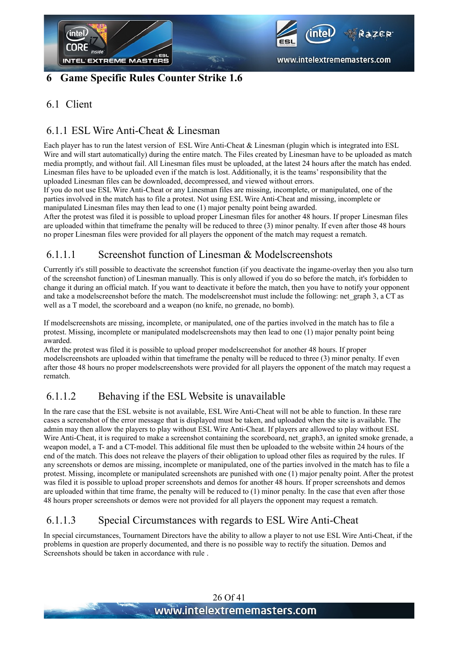



#### **6 Game Specific Rules Counter Strike 1.6**

#### 6.1 Client

#### 6.1.1 ESL Wire Anti-Cheat & Linesman

Each player has to run the latest version of ESL Wire Anti-Cheat & Linesman (plugin which is integrated into ESL Wire and will start automatically) during the entire match. The Files created by Linesman have to be uploaded as match media promptly, and without fail. All Linesman files must be uploaded, at the latest 24 hours after the match has ended. Linesman files have to be uploaded even if the match is lost. Additionally, it is the teams' responsibility that the uploaded Linesman files can be downloaded, decompressed, and viewed without errors.

If you do not use ESL Wire Anti-Cheat or any Linesman files are missing, incomplete, or manipulated, one of the parties involved in the match has to file a protest. Not using ESL Wire Anti-Cheat and missing, incomplete or manipulated Linesman files may then lead to one (1) major penalty point being awarded.

After the protest was filed it is possible to upload proper Linesman files for another 48 hours. If proper Linesman files are uploaded within that timeframe the penalty will be reduced to three (3) minor penalty. If even after those 48 hours no proper Linesman files were provided for all players the opponent of the match may request a rematch.

#### 6.1.1.1 Screenshot function of Linesman & Modelscreenshots

Currently it's still possible to deactivate the screenshot function (if you deactivate the ingame-overlay then you also turn of the screenshot function) of Linesman manually. This is only allowed if you do so before the match, it's forbidden to change it during an official match. If you want to deactivate it before the match, then you have to notify your opponent and take a modelscreenshot before the match. The modelscreenshot must include the following: net\_graph 3, a CT as well as a T model, the scoreboard and a weapon (no knife, no grenade, no bomb).

If modelscreenshots are missing, incomplete, or manipulated, one of the parties involved in the match has to file a protest. Missing, incomplete or manipulated modelscreenshots may then lead to one (1) major penalty point being awarded.

After the protest was filed it is possible to upload proper modelscreenshot for another 48 hours. If proper modelscreenshots are uploaded within that timeframe the penalty will be reduced to three (3) minor penalty. If even after those 48 hours no proper modelscreenshots were provided for all players the opponent of the match may request a rematch.

#### <span id="page-25-0"></span>6.1.1.2 Behaving if the ESL Website is unavailable

In the rare case that the ESL website is not available, ESL Wire Anti-Cheat will not be able to function. In these rare cases a screenshot of the error message that is displayed must be taken, and uploaded when the site is available. The admin may then allow the players to play without ESL Wire Anti-Cheat. If players are allowed to play without ESL Wire Anti-Cheat, it is required to make a screenshot containing the scoreboard, net graph3, an ignited smoke grenade, a weapon model, a T- and a CT-model. This additional file must then be uploaded to the website within 24 hours of the end of the match. This does not releave the players of their obligation to upload other files as required by the rules. If any screenshots or demos are missing, incomplete or manipulated, one of the parties involved in the match has to file a protest. Missing, incomplete or manipulated screenshots are punished with one (1) major penalty point. After the protest was filed it is possible to upload proper screenshots and demos for another 48 hours. If proper screenshots and demos are uploaded within that time frame, the penalty will be reduced to (1) minor penalty. In the case that even after those 48 hours proper screenshots or demos were not provided for all players the opponent may request a rematch.

#### 6.1.1.3 Special Circumstances with regards to ESL Wire Anti-Cheat

In special circumstances, Tournament Directors have the ability to allow a player to not use ESL Wire Anti-Cheat, if the problems in question are properly documented, and there is no possible way to rectify the situation. Demos and Screenshots should be taken in accordance with rule [.](#page-25-0)

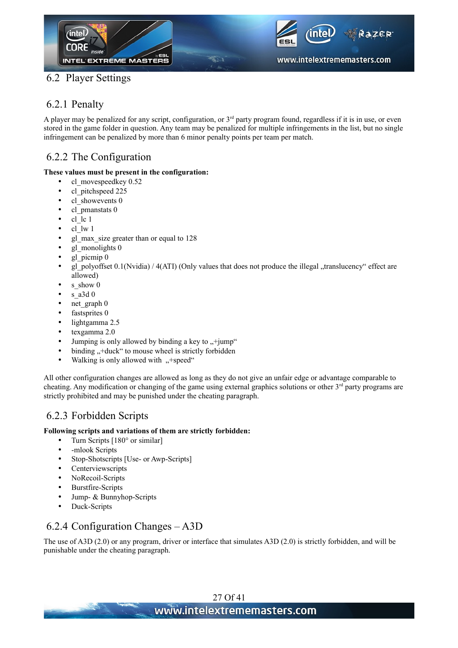

#### 6.2 Player Settings

#### 6.2.1 Penalty

A player may be penalized for any script, configuration, or  $3<sup>rd</sup>$  party program found, regardless if it is in use, or even stored in the game folder in question. Any team may be penalized for multiple infringements in the list, but no single infringement can be penalized by more than 6 minor penalty points per team per match.

#### 6.2.2 The Configuration

#### **These values must be present in the configuration:**

- cl\_movespeedkey 0.52
- cl pitchspeed 225
- cl showevents 0
- cl pmanstats 0
- $\bullet$  cl lc 1
- $\bullet$  cl lw 1
- gl\_max\_size greater than or equal to 128
- gl\_monolights 0
- gl picmip 0
- gl\_polyoffset  $0.1(Nvidia) / 4(ATI)$  (Only values that does not produce the illegal  $\alpha$ translucency" effect are allowed)
- s show 0
- $s$  a3d 0
- net graph 0
- fastsprites 0
- lightgamma 2.5
- texgamma 2.0
- Jumping is only allowed by binding a key to  $\div$ jump"
- binding  $H +$  duck " to mouse wheel is strictly forbidden
- Walking is only allowed with  $, +$ speed"

All other configuration changes are allowed as long as they do not give an unfair edge or advantage comparable to cheating. Any modification or changing of the game using external graphics solutions or other  $3<sup>rd</sup>$  party programs are strictly prohibited and may be punished under the cheating paragraph.

#### 6.2.3 Forbidden Scripts

#### **Following scripts and variations of them are strictly forbidden:**

- Turn Scripts [180° or similar]
- - mlook Scripts
- Stop-Shotscripts [Use- or Awp-Scripts]
- Centerviewscripts
- NoRecoil-Scripts
- Burstfire-Scripts
- Jump- & Bunnyhop-Scripts
- Duck-Scripts

#### 6.2.4 Configuration Changes – A3D

The use of A3D (2.0) or any program, driver or interface that simulates A3D (2.0) is strictly forbidden, and will be punishable under the cheating paragraph.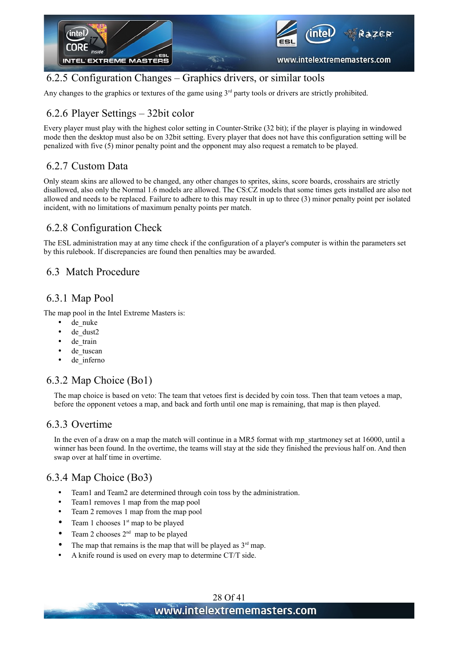

#### 6.2.5 Configuration Changes – Graphics drivers, or similar tools

Any changes to the graphics or textures of the game using  $3<sup>rd</sup>$  party tools or drivers are strictly prohibited.

#### 6.2.6 Player Settings – 32bit color

Every player must play with the highest color setting in Counter-Strike (32 bit); if the player is playing in windowed mode then the desktop must also be on 32bit setting. Every player that does not have this configuration setting will be penalized with five (5) minor penalty point and the opponent may also request a rematch to be played.

#### 6.2.7 Custom Data

Only steam skins are allowed to be changed, any other changes to sprites, skins, score boards, crosshairs are strictly disallowed, also only the Normal 1.6 models are allowed. The CS:CZ models that some times gets installed are also not allowed and needs to be replaced. Failure to adhere to this may result in up to three (3) minor penalty point per isolated incident, with no limitations of maximum penalty points per match.

#### 6.2.8 Configuration Check

The ESL administration may at any time check if the configuration of a player's computer is within the parameters set by this rulebook. If discrepancies are found then penalties may be awarded.

#### 6.3 Match Procedure

#### 6.3.1 Map Pool

The map pool in the Intel Extreme Masters is:

- de nuke
- de dust2
- de train
- de tuscan
- de inferno

#### 6.3.2 Map Choice (Bo1)

The map choice is based on veto: The team that vetoes first is decided by coin toss. Then that team vetoes a map, before the opponent vetoes a map, and back and forth until one map is remaining, that map is then played.

#### 6.3.3 Overtime

In the even of a draw on a map the match will continue in a MR5 format with mp\_startmoney set at 16000, until a winner has been found. In the overtime, the teams will stay at the side they finished the previous half on. And then swap over at half time in overtime.

#### 6.3.4 Map Choice (Bo3)

- Team1 and Team2 are determined through coin toss by the administration.
- Team1 removes 1 map from the map pool
- Team 2 removes 1 map from the map pool
- Team 1 chooses  $1<sup>st</sup>$  map to be played
- Team 2 chooses  $2<sup>nd</sup>$  map to be played
- The map that remains is the map that will be played as  $3<sup>rd</sup>$  map.
- A knife round is used on every map to determine CT/T side.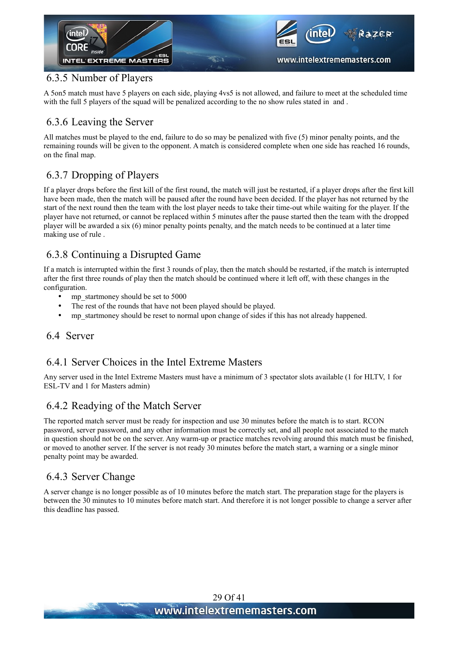

#### 6.3.5 Number of Players

A 5on5 match must have 5 players on each side, playing 4vs5 is not allowed, and failure to meet at the scheduled time with the full 5 players of the squad will be penalized according to the no show rules stated inand [.](#page-19-0)

#### 6.3.6 Leaving the Server

All matches must be played to the end, failure to do so may be penalized with five (5) minor penalty points, and the remaining rounds will be given to the opponent. A match is considered complete when one side has reached 16 rounds, on the final map.

#### 6.3.7 Dropping of Players

If a player drops before the first kill of the first round, the match will just be restarted, if a player drops after the first kill have been made, then the match will be paused after the round have been decided. If the player has not returned by the start of the next round then the team with the lost player needs to take their time-out while waiting for the player. If the player have not returned, or cannot be replaced within 5 minutes after the pause started then the team with the dropped player will be awarded a six (6) minor penalty points penalty, and the match needs to be continued at a later time making use of rule [.](#page-28-0)

#### <span id="page-28-0"></span>6.3.8 Continuing a Disrupted Game

If a match is interrupted within the first 3 rounds of play, then the match should be restarted, if the match is interrupted after the first three rounds of play then the match should be continued where it left off, with these changes in the configuration.

- mp\_startmoney should be set to 5000
- The rest of the rounds that have not been played should be played.
- mp\_startmoney should be reset to normal upon change of sides if this has not already happened.

#### 6.4 Server

#### 6.4.1 Server Choices in the Intel Extreme Masters

Any server used in the Intel Extreme Masters must have a minimum of 3 spectator slots available (1 for HLTV, 1 for ESL-TV and 1 for Masters admin)

#### 6.4.2 Readying of the Match Server

The reported match server must be ready for inspection and use 30 minutes before the match is to start. RCON password, server password, and any other information must be correctly set, and all people not associated to the match in question should not be on the server. Any warm-up or practice matches revolving around this match must be finished, or moved to another server. If the server is not ready 30 minutes before the match start, a warning or a single minor penalty point may be awarded.

#### 6.4.3 Server Change

A server change is no longer possible as of 10 minutes before the match start. The preparation stage for the players is between the 30 minutes to 10 minutes before match start. And therefore it is not longer possible to change a server after this deadline has passed.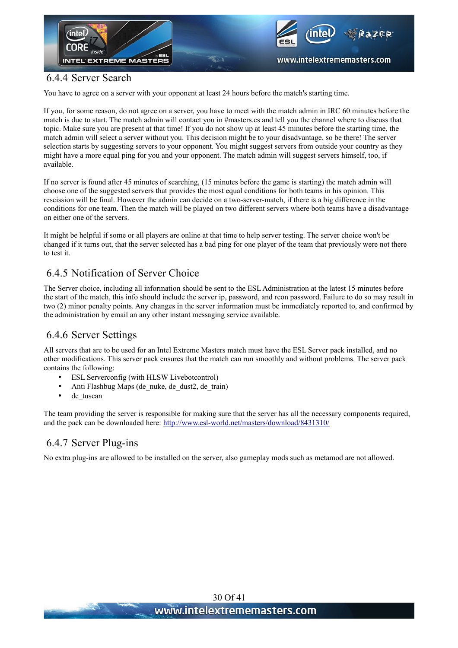

#### 6.4.4 Server Search

You have to agree on a server with your opponent at least 24 hours before the match's starting time.

If you, for some reason, do not agree on a server, you have to meet with the match admin in IRC 60 minutes before the match is due to start. The match admin will contact you in #masters.cs and tell you the channel where to discuss that topic. Make sure you are present at that time! If you do not show up at least 45 minutes before the starting time, the match admin will select a server without you. This decision might be to your disadvantage, so be there! The server selection starts by suggesting servers to your opponent. You might suggest servers from outside your country as they might have a more equal ping for you and your opponent. The match admin will suggest servers himself, too, if available.

If no server is found after 45 minutes of searching, (15 minutes before the game is starting) the match admin will choose one of the suggested servers that provides the most equal conditions for both teams in his opinion. This rescission will be final. However the admin can decide on a two-server-match, if there is a big difference in the conditions for one team. Then the match will be played on two different servers where both teams have a disadvantage on either one of the servers.

It might be helpful if some or all players are online at that time to help server testing. The server choice won't be changed if it turns out, that the server selected has a bad ping for one player of the team that previously were not there to test it.

#### 6.4.5 Notification of Server Choice

The Server choice, including all information should be sent to the ESL Administration at the latest 15 minutes before the start of the match, this info should include the server ip, password, and rcon password. Failure to do so may result in two (2) minor penalty points. Any changes in the server information must be immediately reported to, and confirmed by the administration by email an any other instant messaging service available.

#### 6.4.6 Server Settings

All servers that are to be used for an Intel Extreme Masters match must have the ESL Server pack installed, and no other modifications. This server pack ensures that the match can run smoothly and without problems. The server pack contains the following:

- ESL Serverconfig (with HLSW Livebotcontrol)
- Anti Flashbug Maps (de\_nuke, de\_dust2, de\_train)
- de tuscan

The team providing the server is responsible for making sure that the server has all the necessary components required, and the pack can be downloaded here:<http://www.esl-world.net/masters/download/8431310/>

#### 6.4.7 Server Plug-ins

No extra plug-ins are allowed to be installed on the server, also gameplay mods such as metamod are not allowed.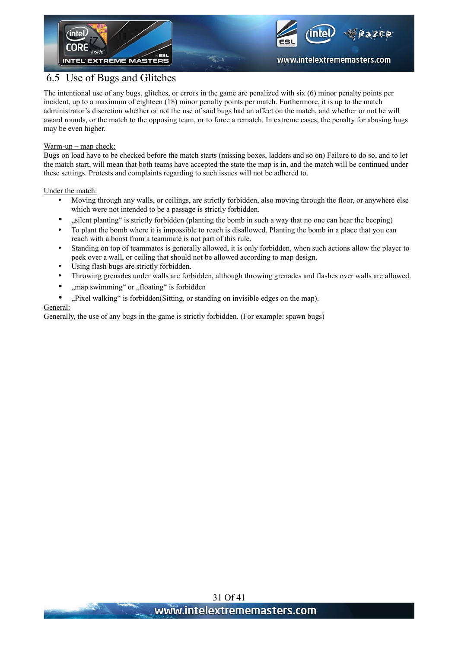



www.intelextrememasters.com

#### 6.5 Use of Bugs and Glitches

The intentional use of any bugs, glitches, or errors in the game are penalized with six (6) minor penalty points per incident, up to a maximum of eighteen (18) minor penalty points per match. Furthermore, it is up to the match administrator's discretion whether or not the use of said bugs had an affect on the match, and whether or not he will award rounds, or the match to the opposing team, or to force a rematch. In extreme cases, the penalty for abusing bugs may be even higher.

#### Warm-up – map check:

Bugs on load have to be checked before the match starts (missing boxes, ladders and so on) Failure to do so, and to let the match start, will mean that both teams have accepted the state the map is in, and the match will be continued under these settings. Protests and complaints regarding to such issues will not be adhered to.

Under the match:

- Moving through any walls, or ceilings, are strictly forbidden, also moving through the floor, or anywhere else which were not intended to be a passage is strictly forbidden.
- "silent planting" is strictly forbidden (planting the bomb in such a way that no one can hear the beeping)
- To plant the bomb where it is impossible to reach is disallowed. Planting the bomb in a place that you can reach with a boost from a teammate is not part of this rule.
- Standing on top of teammates is generally allowed, it is only forbidden, when such actions allow the player to peek over a wall, or ceiling that should not be allowed according to map design.
- Using flash bugs are strictly forbidden.
- Throwing grenades under walls are forbidden, although throwing grenades and flashes over walls are allowed.
- "map swimming" or "floating" is forbidden
- "Pixel walking" is forbidden(Sitting, or standing on invisible edges on the map).

#### General:

Generally, the use of any bugs in the game is strictly forbidden. (For example: spawn bugs)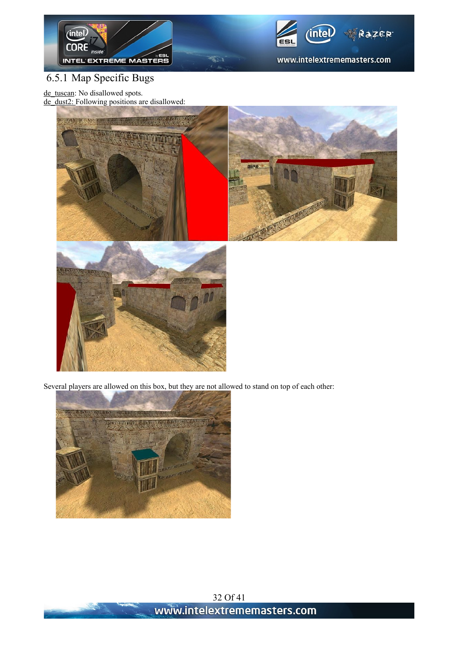



# 6.5.1 Map Specific Bugs

de\_tuscan: No disallowed spots.

de\_dust2: Following positions are disallowed:





Several players are allowed on this box, but they are not allowed to stand on top of each other:

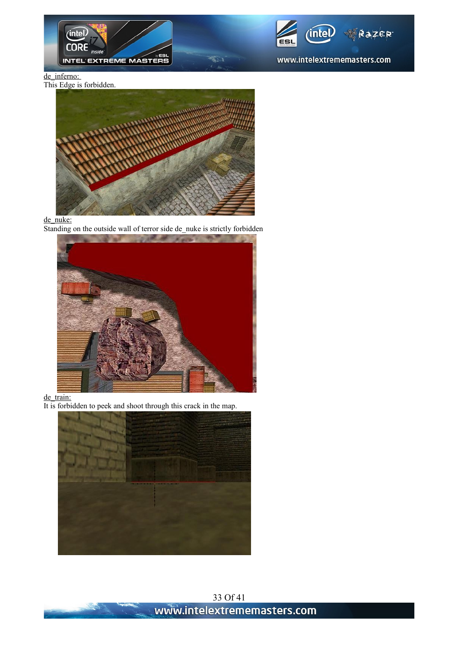



#### de inferno:

This Edge is forbidden.



#### de nuke:

Standing on the outside wall of terror side de\_nuke is strictly forbidden



#### de\_train:

It is forbidden to peek and shoot through this crack in the map.

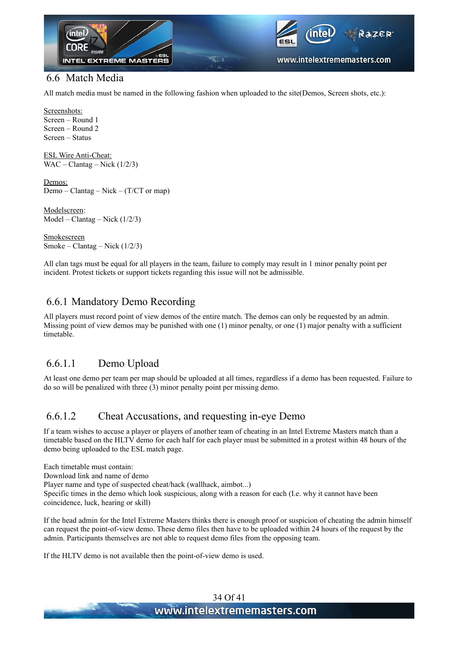

#### 6.6 Match Media

All match media must be named in the following fashion when uploaded to the site(Demos, Screen shots, etc.):

Screenshots: Screen – Round 1 Screen – Round 2 Screen – Status

ESL Wire Anti-Cheat: WAC – Clantag – Nick  $(1/2/3)$ 

Demos: Demo – Clantag – Nick – (T/CT or map)

Modelscreen: Model – Clantag – Nick (1/2/3)

**Smokescreen** Smoke – Clantag – Nick  $(1/2/3)$ 

All clan tags must be equal for all players in the team, failure to comply may result in 1 minor penalty point per incident. Protest tickets or support tickets regarding this issue will not be admissible.

#### 6.6.1 Mandatory Demo Recording

All players must record point of view demos of the entire match. The demos can only be requested by an admin. Missing point of view demos may be punished with one (1) minor penalty, or one (1) major penalty with a sufficient timetable.

#### 6.6.1.1 Demo Upload

At least one demo per team per map should be uploaded at all times, regardless if a demo has been requested. Failure to do so will be penalized with three (3) minor penalty point per missing demo.

#### 6.6.1.2 Cheat Accusations, and requesting in-eye Demo

If a team wishes to accuse a player or players of another team of cheating in an Intel Extreme Masters match than a timetable based on the HLTV demo for each half for each player must be submitted in a protest within 48 hours of the demo being uploaded to the ESL match page.

Each timetable must contain: Download link and name of demo Player name and type of suspected cheat/hack (wallhack, aimbot...) Specific times in the demo which look suspicious, along with a reason for each (I.e. why it cannot have been coincidence, luck, hearing or skill)

If the head admin for the Intel Extreme Masters thinks there is enough proof or suspicion of cheating the admin himself can request the point-of-view demo. These demo files then have to be uploaded within 24 hours of the request by the admin. Participants themselves are not able to request demo files from the opposing team.

If the HLTV demo is not available then the point-of-view demo is used.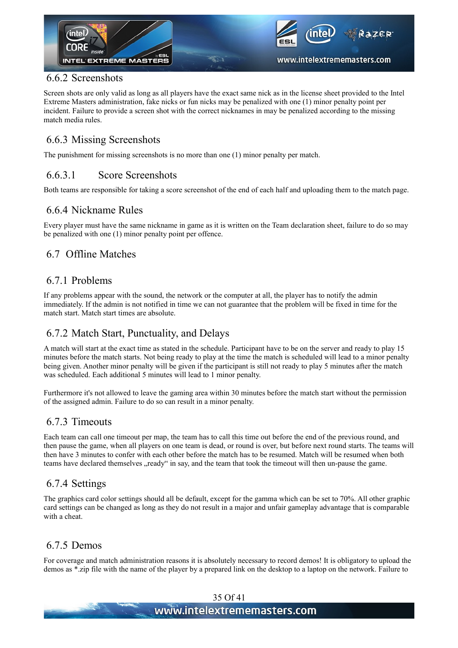

#### 6.6.2 Screenshots

Screen shots are only valid as long as all players have the exact same nick as in the license sheet provided to the Intel Extreme Masters administration, fake nicks or fun nicks may be penalized with one (1) minor penalty point per incident. Failure to provide a screen shot with the correct nicknames in may be penalized according to the missing match media rules.

#### 6.6.3 Missing Screenshots

The punishment for missing screenshots is no more than one (1) minor penalty per match.

#### 6.6.3.1 Score Screenshots

Both teams are responsible for taking a score screenshot of the end of each half and uploading them to the match page.

#### 6.6.4 Nickname Rules

Every player must have the same nickname in game as it is written on the Team declaration sheet, failure to do so may be penalized with one (1) minor penalty point per offence.

#### 6.7 Offline Matches

#### 6.7.1 Problems

If any problems appear with the sound, the network or the computer at all, the player has to notify the admin immediately. If the admin is not notified in time we can not guarantee that the problem will be fixed in time for the match start. Match start times are absolute.

#### 6.7.2 Match Start, Punctuality, and Delays

A match will start at the exact time as stated in the schedule. Participant have to be on the server and ready to play 15 minutes before the match starts. Not being ready to play at the time the match is scheduled will lead to a minor penalty being given. Another minor penalty will be given if the participant is still not ready to play 5 minutes after the match was scheduled. Each additional 5 minutes will lead to 1 minor penalty.

Furthermore it's not allowed to leave the gaming area within 30 minutes before the match start without the permission of the assigned admin. Failure to do so can result in a minor penalty.

#### 6.7.3 Timeouts

Each team can call one timeout per map, the team has to call this time out before the end of the previous round, and then pause the game, when all players on one team is dead, or round is over, but before next round starts. The teams will then have 3 minutes to confer with each other before the match has to be resumed. Match will be resumed when both teams have declared themselves "ready" in say, and the team that took the timeout will then un-pause the game.

#### 6.7.4 Settings

The graphics card color settings should all be default, except for the gamma which can be set to 70%. All other graphic card settings can be changed as long as they do not result in a major and unfair gameplay advantage that is comparable with a cheat.

#### 6.7.5 Demos

For coverage and match administration reasons it is absolutely necessary to record demos! It is obligatory to upload the demos as \*.zip file with the name of the player by a prepared link on the desktop to a laptop on the network. Failure to

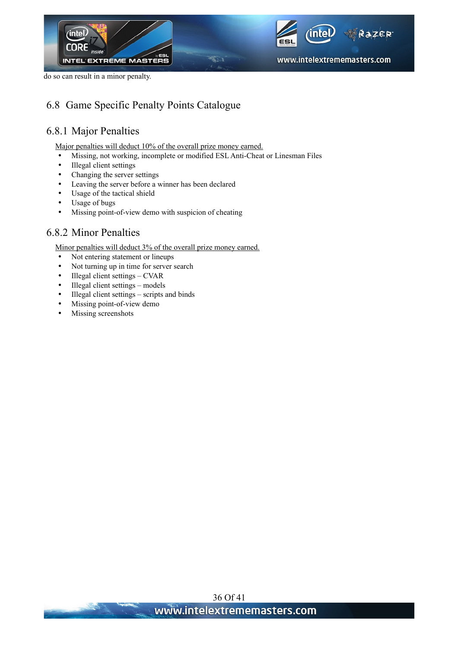





#### 6.8 Game Specific Penalty Points Catalogue

#### 6.8.1 Major Penalties

Major penalties will deduct 10% of the overall prize money earned.

- Missing, not working, incomplete or modified ESL Anti-Cheat or Linesman Files
- Illegal client settings
- Changing the server settings
- Leaving the server before a winner has been declared
- Usage of the tactical shield
- Usage of bugs
- Missing point-of-view demo with suspicion of cheating

#### 6.8.2 Minor Penalties

Minor penalties will deduct 3% of the overall prize money earned.

- Not entering statement or lineups
- Not turning up in time for server search
- Illegal client settings CVAR
- Illegal client settings models
- Illegal client settings scripts and binds
- Missing point-of-view demo
- Missing screenshots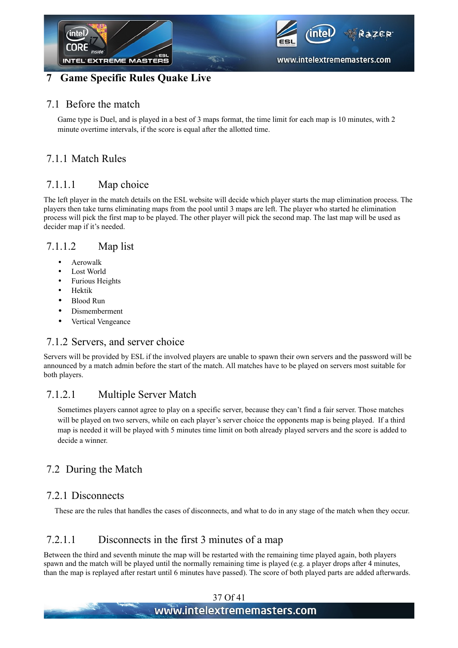

#### **7 Game Specific Rules Quake Live**

#### 7.1 Before the match

Game type is Duel, and is played in a best of 3 maps format, the time limit for each map is 10 minutes, with 2 minute overtime intervals, if the score is equal after the allotted time.

#### 7.1.1 Match Rules

#### 7.1.1.1 Map choice

The left player in the match details on the ESL website will decide which player starts the map elimination process. The players then take turns eliminating maps from the pool until 3 maps are left. The player who started he elimination process will pick the first map to be played. The other player will pick the second map. The last map will be used as decider map if it's needed.

#### 7.1.1.2 Map list

- Aerowalk
- Lost World
- Furious Heights
- Hektik
- Blood Run
- Dismemberment
- Vertical Vengeance

#### 7.1.2 Servers, and server choice

Servers will be provided by ESL if the involved players are unable to spawn their own servers and the password will be announced by a match admin before the start of the match. All matches have to be played on servers most suitable for both players.

#### 7.1.2.1 Multiple Server Match

Sometimes players cannot agree to play on a specific server, because they can't find a fair server. Those matches will be played on two servers, while on each player's server choice the opponents map is being played. If a third map is needed it will be played with 5 minutes time limit on both already played servers and the score is added to decide a winner.

#### 7.2 During the Match

#### 7.2.1 Disconnects

These are the rules that handles the cases of disconnects, and what to do in any stage of the match when they occur.

#### 7.2.1.1 Disconnects in the first 3 minutes of a map

Between the third and seventh minute the map will be restarted with the remaining time played again, both players spawn and the match will be played until the normally remaining time is played (e.g. a player drops after 4 minutes, than the map is replayed after restart until 6 minutes have passed). The score of both played parts are added afterwards.

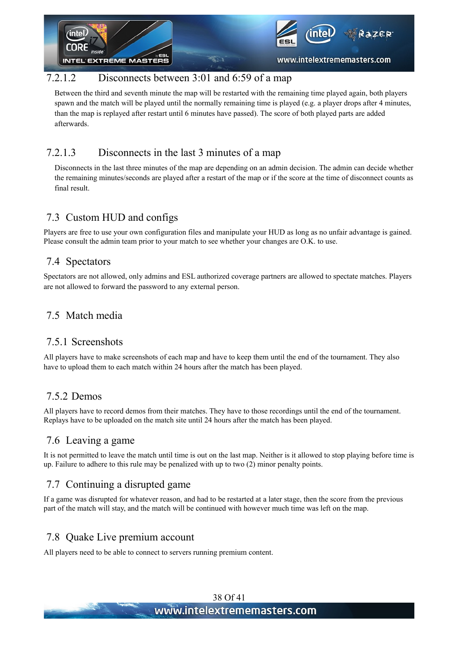

#### 7.2.1.2 Disconnects between 3:01 and 6:59 of a map

Between the third and seventh minute the map will be restarted with the remaining time played again, both players spawn and the match will be played until the normally remaining time is played (e.g. a player drops after 4 minutes, than the map is replayed after restart until 6 minutes have passed). The score of both played parts are added afterwards.

#### 7.2.1.3 Disconnects in the last 3 minutes of a map

Disconnects in the last three minutes of the map are depending on an admin decision. The admin can decide whether the remaining minutes/seconds are played after a restart of the map or if the score at the time of disconnect counts as final result.

#### 7.3 Custom HUD and configs

Players are free to use your own configuration files and manipulate your HUD as long as no unfair advantage is gained. Please consult the admin team prior to your match to see whether your changes are O.K. to use.

#### 7.4 Spectators

Spectators are not allowed, only admins and ESL authorized coverage partners are allowed to spectate matches. Players are not allowed to forward the password to any external person.

#### 7.5 Match media

#### 7.5.1 Screenshots

All players have to make screenshots of each map and have to keep them until the end of the tournament. They also have to upload them to each match within 24 hours after the match has been played.

#### 7.5.2 Demos

All players have to record demos from their matches. They have to those recordings until the end of the tournament. Replays have to be uploaded on the match site until 24 hours after the match has been played.

#### 7.6 Leaving a game

It is not permitted to leave the match until time is out on the last map. Neither is it allowed to stop playing before time is up. Failure to adhere to this rule may be penalized with up to two (2) minor penalty points.

#### 7.7 Continuing a disrupted game

If a game was disrupted for whatever reason, and had to be restarted at a later stage, then the score from the previous part of the match will stay, and the match will be continued with however much time was left on the map.

#### 7.8 Quake Live premium account

All players need to be able to connect to servers running premium content.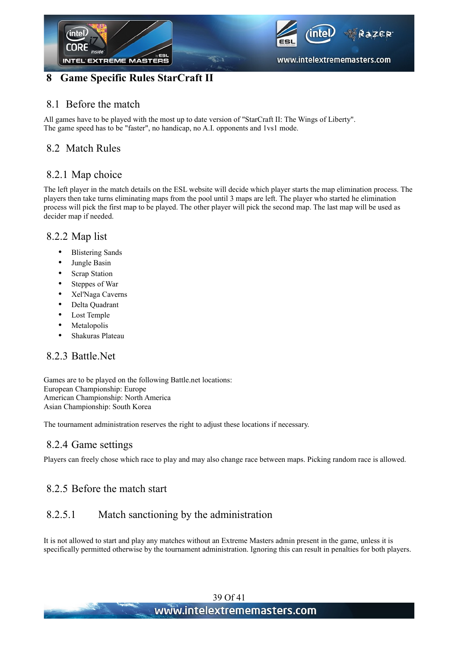

# **8 Game Specific Rules StarCraft II**

#### 8.1 Before the match

All games have to be played with the most up to date version of "StarCraft II: The Wings of Liberty". The game speed has to be "faster", no handicap, no A.I. opponents and 1vs1 mode.

#### 8.2 Match Rules

#### 8.2.1 Map choice

The left player in the match details on the ESL website will decide which player starts the map elimination process. The players then take turns eliminating maps from the pool until 3 maps are left. The player who started he elimination process will pick the first map to be played. The other player will pick the second map. The last map will be used as decider map if needed.

#### 8.2.2 Map list

- Blistering Sands
- Jungle Basin
- Scrap Station
- Steppes of War
- Xel'Naga Caverns
- Delta Quadrant
- Lost Temple
- Metalopolis
- Shakuras Plateau

#### 8.2.3 Battle.Net

Games are to be played on the following Battle.net locations: European Championship: Europe American Championship: North America Asian Championship: South Korea

The tournament administration reserves the right to adjust these locations if necessary.

#### 8.2.4 Game settings

Players can freely chose which race to play and may also change race between maps. Picking random race is allowed.

#### 8.2.5 Before the match start

#### 8.2.5.1 Match sanctioning by the administration

It is not allowed to start and play any matches without an Extreme Masters admin present in the game, unless it is specifically permitted otherwise by the tournament administration. Ignoring this can result in penalties for both players.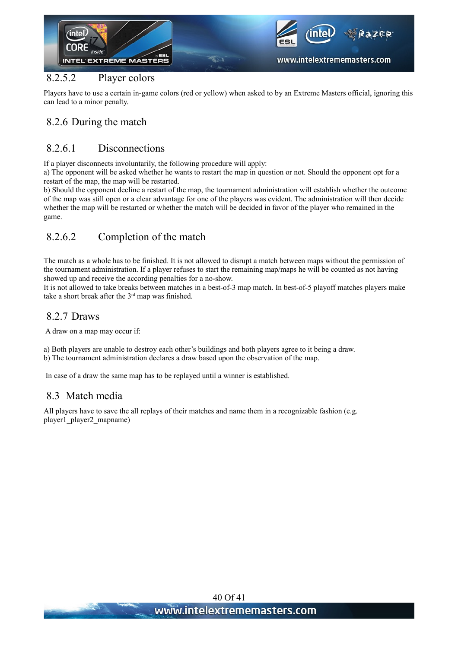

#### 8.2.5.2 Player colors

Players have to use a certain in-game colors (red or yellow) when asked to by an Extreme Masters official, ignoring this can lead to a minor penalty.

#### 8.2.6 During the match

#### 8.2.6.1 Disconnections

If a player disconnects involuntarily, the following procedure will apply:

a) The opponent will be asked whether he wants to restart the map in question or not. Should the opponent opt for a restart of the map, the map will be restarted.

b) Should the opponent decline a restart of the map, the tournament administration will establish whether the outcome of the map was still open or a clear advantage for one of the players was evident. The administration will then decide whether the map will be restarted or whether the match will be decided in favor of the player who remained in the game.

#### 8.2.6.2 Completion of the match

The match as a whole has to be finished. It is not allowed to disrupt a match between maps without the permission of the tournament administration. If a player refuses to start the remaining map/maps he will be counted as not having showed up and receive the according penalties for a no-show.

It is not allowed to take breaks between matches in a best-of-3 map match. In best-of-5 playoff matches players make take a short break after the  $3<sup>rd</sup>$  map was finished.

#### 8.2.7 Draws

A draw on a map may occur if:

a) Both players are unable to destroy each other's buildings and both players agree to it being a draw. b) The tournament administration declares a draw based upon the observation of the map.

In case of a draw the same map has to be replayed until a winner is established.

#### 8.3 Match media

All players have to save the all replays of their matches and name them in a recognizable fashion (e.g. player1\_player2\_mapname)